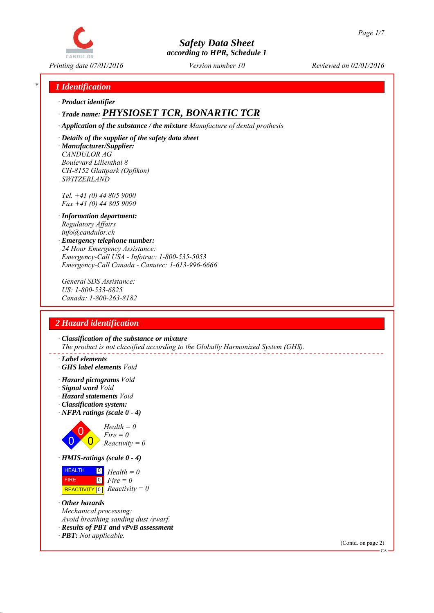

# *\* 1 Identification*

*∙ Product identifier*

# *∙ Trade name: PHYSIOSET TCR, BONARTIC TCR*

*∙ Application of the substance / the mixture Manufacture of dental prothesis*

*∙ Details of the supplier of the safety data sheet ∙ Manufacturer/Supplier: CANDULOR AG Boulevard Lilienthal 8 CH-8152 Glattpark (Opfikon) SWITZERLAND*

*Tel. +41 (0) 44 805 9000 Fax +41 (0) 44 805 9090*

- *∙ Information department: Regulatory Affairs info@candulor.ch*
- *∙ Emergency telephone number: 24 Hour Emergency Assistance: Emergency-Call USA - Infotrac: 1-800-535-5053 Emergency-Call Canada - Canutec: 1-613-996-6666*

*General SDS Assistance: US: 1-800-533-6825 Canada: 1-800-263-8182*

# *2 Hazard identification*

*∙ Classification of the substance or mixture The product is not classified according to the Globally Harmonized System (GHS).*

- *∙ Label elements*
- *∙ GHS label elements Void*
- *∙ Hazard pictograms Void*
- *∙ Signal word Void*
- *∙ Hazard statements Void*
- *∙ Classification system:*
- *∙ NFPA ratings (scale 0 4)*



*∙ HMIS-ratings (scale 0 - 4)*



- *∙ Other hazards Mechanical processing: Avoid breathing sanding dust /swarf.*
- *∙ Results of PBT and vPvB assessment*
- *∙ PBT: Not applicable.*

(Contd. on page 2)

 $\alpha$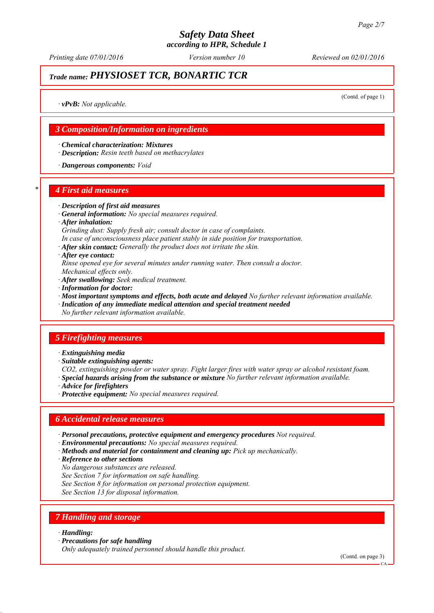# *Safety Data Sheet*

*according to HPR, Schedule 1*

*Printing date 07/01/2016 Reviewed on 02/01/2016 Version number 10*

# *Trade name: PHYSIOSET TCR, BONARTIC TCR*

(Contd. of page 1)

*∙ vPvB: Not applicable.*

### *3 Composition/Information on ingredients*

*∙ Chemical characterization: Mixtures*

*∙ Description: Resin teeth based on methacrylates*

*∙ Dangerous components: Void*

#### *\* 4 First aid measures*

- *∙ Description of first aid measures*
- *∙ General information: No special measures required.*
- *∙ After inhalation:*
- *Grinding dust: Supply fresh air; consult doctor in case of complaints.*
- *In case of unconsciousness place patient stably in side position for transportation.*
- *∙ After skin contact: Generally the product does not irritate the skin.*
- *∙ After eye contact:*
- *Rinse opened eye for several minutes under running water. Then consult a doctor. Mechanical effects only.*
- *∙ After swallowing: Seek medical treatment.*
- *∙ Information for doctor:*
- *∙ Most important symptoms and effects, both acute and delayed No further relevant information available.*
- *∙ Indication of any immediate medical attention and special treatment needed*
- *No further relevant information available.*

#### *5 Firefighting measures*

- *∙ Extinguishing media*
- *∙ Suitable extinguishing agents:*
- *CO2, extinguishing powder or water spray. Fight larger fires with water spray or alcohol resistant foam.*
- *∙ Special hazards arising from the substance or mixture No further relevant information available.*
- *∙ Advice for firefighters*
- *∙ Protective equipment: No special measures required.*

#### *6 Accidental release measures*

- *∙ Personal precautions, protective equipment and emergency procedures Not required.*
- *∙ Environmental precautions: No special measures required.*
- *∙ Methods and material for containment and cleaning up: Pick up mechanically.*
- *∙ Reference to other sections*
- *No dangerous substances are released.*
- *See Section 7 for information on safe handling.*
- *See Section 8 for information on personal protection equipment.*
- *See Section 13 for disposal information.*

# *7 Handling and storage*

#### *∙ Handling:*

*∙ Precautions for safe handling*

*Only adequately trained personnel should handle this product.*

(Contd. on page 3)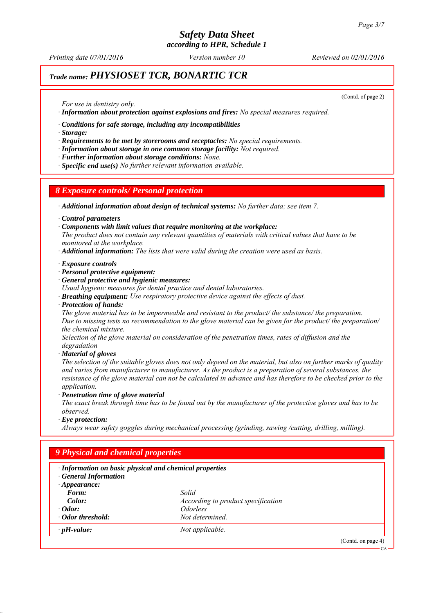# *Safety Data Sheet*

*according to HPR, Schedule 1*

*Printing date 07/01/2016 Reviewed on 02/01/2016 Version number 10*

# *Trade name: PHYSIOSET TCR, BONARTIC TCR*

(Contd. of page 2)

*For use in dentistry only.*

*∙ Information about protection against explosions and fires: No special measures required.*

*∙ Conditions for safe storage, including any incompatibilities*

*∙ Storage:*

*∙ Requirements to be met by storerooms and receptacles: No special requirements.*

*∙ Information about storage in one common storage facility: Not required.*

*∙ Further information about storage conditions: None.*

*∙ Specific end use(s) No further relevant information available.*

#### *8 Exposure controls/ Personal protection*

*∙ Additional information about design of technical systems: No further data; see item 7.*

*∙ Control parameters*

*∙ Components with limit values that require monitoring at the workplace:*

*The product does not contain any relevant quantities of materials with critical values that have to be monitored at the workplace.*

*∙ Additional information: The lists that were valid during the creation were used as basis.*

#### *∙ Exposure controls*

- *∙ Personal protective equipment:*
- *∙ General protective and hygienic measures:*

*Usual hygienic measures for dental practice and dental laboratories.*

- *∙ Breathing equipment: Use respiratory protective device against the effects of dust.*
- *∙ Protection of hands:*

*The glove material has to be impermeable and resistant to the product/ the substance/ the preparation. Due to missing tests no recommendation to the glove material can be given for the product/ the preparation/ the chemical mixture.*

*Selection of the glove material on consideration of the penetration times, rates of diffusion and the degradation*

*∙ Material of gloves*

*The selection of the suitable gloves does not only depend on the material, but also on further marks of quality and varies from manufacturer to manufacturer. As the product is a preparation of several substances, the resistance of the glove material can not be calculated in advance and has therefore to be checked prior to the application.*

*∙ Penetration time of glove material*

*The exact break through time has to be found out by the manufacturer of the protective gloves and has to be observed.*

*∙ Eye protection:*

*Always wear safety goggles during mechanical processing (grinding, sawing /cutting, drilling, milling).*

| · Information on basic physical and chemical properties<br><b>General Information</b> |                                    |  |  |
|---------------------------------------------------------------------------------------|------------------------------------|--|--|
| $\cdot$ Appearance:                                                                   |                                    |  |  |
| Form:                                                                                 | Solid                              |  |  |
| Color:                                                                                | According to product specification |  |  |
| $\cdot$ Odor:                                                                         | <i><u><b>Odorless</b></u></i>      |  |  |
| • Odor threshold:                                                                     | Not determined.                    |  |  |
| $\cdot$ pH-value:                                                                     | Not applicable.                    |  |  |

CA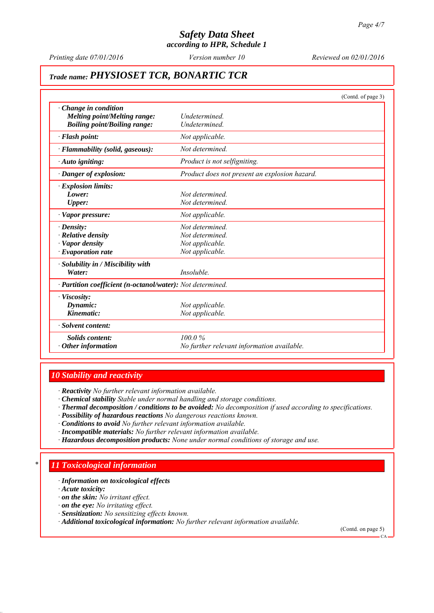*Printing date 07/01/2016 Reviewed on 02/01/2016 Version number 10*

# *Trade name: PHYSIOSET TCR, BONARTIC TCR*

|                                                                                                            | (Contd. of page 3)                                                      |
|------------------------------------------------------------------------------------------------------------|-------------------------------------------------------------------------|
| Change in condition<br><b>Melting point/Melting range:</b><br><b>Boiling point/Boiling range:</b>          | Undetermined.<br>Undetermined.                                          |
| · Flash point:                                                                                             | Not applicable.                                                         |
| · Flammability (solid, gaseous):                                                                           | Not determined.                                                         |
| · Auto igniting:                                                                                           | Product is not selfigniting.                                            |
| · Danger of explosion:                                                                                     | Product does not present an explosion hazard.                           |
| $\cdot$ Explosion limits:<br>Lower:<br><b>Upper:</b>                                                       | Not determined.<br>Not determined.                                      |
| · Vapor pressure:                                                                                          | Not applicable.                                                         |
| $\cdot$ Density:<br>$\cdot$ Relative density<br>· Vapor density<br>$\cdot$ Evaporation rate                | Not determined<br>Not determined.<br>Not applicable.<br>Not applicable. |
| · Solubility in / Miscibility with<br>Water:<br>· Partition coefficient (n-octanol/water): Not determined. | Insoluble.                                                              |
| · Viscosity:<br>Dynamic:<br>Kinematic:                                                                     | Not applicable.<br>Not applicable.                                      |
| · Solvent content:                                                                                         |                                                                         |
| Solids content:<br>$\cdot$ Other information                                                               | 100.0%<br>No further relevant information available.                    |

### *10 Stability and reactivity*

*∙ Reactivity No further relevant information available.*

- *∙ Chemical stability Stable under normal handling and storage conditions.*
- *∙ Thermal decomposition / conditions to be avoided: No decomposition if used according to specifications.*
- *∙ Possibility of hazardous reactions No dangerous reactions known.*
- *∙ Conditions to avoid No further relevant information available.*
- *∙ Incompatible materials: No further relevant information available.*
- *∙ Hazardous decomposition products: None under normal conditions of storage and use.*

# *\* 11 Toxicological information*

*∙ Information on toxicological effects*

*∙ Acute toxicity:*

- *∙ on the skin: No irritant effect.*
- *∙ on the eye: No irritating effect.*
- *∙ Sensitization: No sensitizing effects known.*
- *∙ Additional toxicological information: No further relevant information available.*

(Contd. on page 5)

CA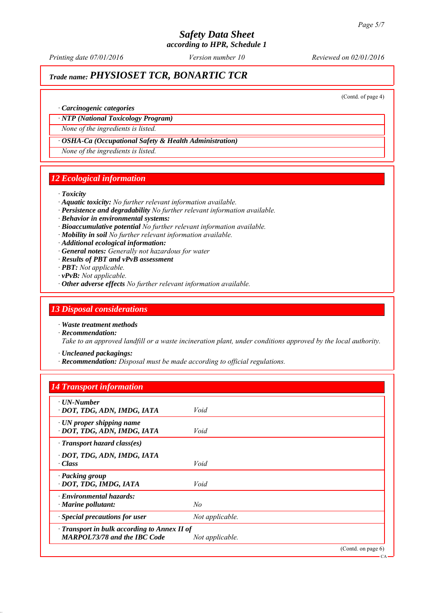*Printing date 07/01/2016 Reviewed on 02/01/2016 Version number 10*

# *Trade name: PHYSIOSET TCR, BONARTIC TCR*

(Contd. of page 4)

#### *∙ Carcinogenic categories*

#### *∙ NTP (National Toxicology Program)*

*None of the ingredients is listed.*

#### *∙ OSHA-Ca (Occupational Safety & Health Administration)*

*None of the ingredients is listed.*

#### *12 Ecological information*

#### *∙ Toxicity*

- *∙ Aquatic toxicity: No further relevant information available.*
- *∙ Persistence and degradability No further relevant information available.*
- *∙ Behavior in environmental systems:*
- *∙ Bioaccumulative potential No further relevant information available.*
- *∙ Mobility in soil No further relevant information available.*
- *∙ Additional ecological information:*
- *∙ General notes: Generally not hazardous for water*
- *∙ Results of PBT and vPvB assessment*
- *∙ PBT: Not applicable.*
- *∙ vPvB: Not applicable.*
- *∙ Other adverse effects No further relevant information available.*

#### *13 Disposal considerations*

*∙ Waste treatment methods*

- *∙ Recommendation: Take to an approved landfill or a waste incineration plant, under conditions approved by the local authority.*
	- *∙ Uncleaned packagings:*
	- *∙ Recommendation: Disposal must be made according to official regulations.*

### *14 Transport information*

| $\cdot$ UN-Number<br>· DOT, TDG, ADN, IMDG, IATA                                          | Void            |                   |
|-------------------------------------------------------------------------------------------|-----------------|-------------------|
| $\cdot$ UN proper shipping name<br>· DOT, TDG, ADN, IMDG, IATA                            | Void            |                   |
| $\cdot$ Transport hazard class(es)                                                        |                 |                   |
| · DOT, TDG, ADN, IMDG, IATA<br>$\cdot$ Class                                              | Void            |                   |
| · Packing group<br>· DOT, TDG, IMDG, IATA                                                 | Void            |                   |
| $\cdot$ Environmental hazards:<br>$\cdot$ Marine pollutant:                               | No              |                   |
| · Special precautions for user                                                            | Not applicable. |                   |
| $\cdot$ Transport in bulk according to Annex II of<br><b>MARPOL73/78 and the IBC Code</b> | Not applicable. |                   |
|                                                                                           |                 | (Cond. on page 6) |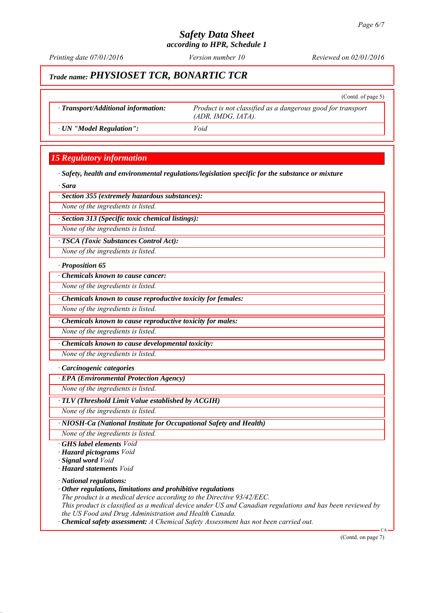*Printing date 07/01/2016 Reviewed on 02/01/2016 Version number 10*

# *Trade name: PHYSIOSET TCR, BONARTIC TCR*

|                                     | (Contd. of page $5$ )                                                             |
|-------------------------------------|-----------------------------------------------------------------------------------|
| · Transport/Additional information: | Product is not classified as a dangerous good for transport<br>(ADR, IMDG, IATA). |
| · UN "Model Regulation":            | Void                                                                              |

# *15 Regulatory information*

*∙ Safety, health and environmental regulations/legislation specific for the substance or mixture*

*∙ Sara*

*∙ Section 355 (extremely hazardous substances):*

*None of the ingredients is listed.*

*∙ Section 313 (Specific toxic chemical listings):*

*None of the ingredients is listed.*

*∙ TSCA (Toxic Substances Control Act):*

*None of the ingredients is listed.*

*∙ Proposition 65*

*∙ Chemicals known to cause cancer:*

*None of the ingredients is listed.*

*∙ Chemicals known to cause reproductive toxicity for females:*

*None of the ingredients is listed.*

*∙ Chemicals known to cause reproductive toxicity for males:*

*None of the ingredients is listed.*

*∙ Chemicals known to cause developmental toxicity:*

*None of the ingredients is listed.*

*∙ Carcinogenic categories*

*∙ EPA (Environmental Protection Agency)*

*None of the ingredients is listed.*

*∙ TLV (Threshold Limit Value established by ACGIH)*

*None of the ingredients is listed.*

*∙ NIOSH-Ca (National Institute for Occupational Safety and Health)*

*None of the ingredients is listed.*

- *∙ GHS label elements Void*
- *∙ Hazard pictograms Void*

*∙ Signal word Void*

*∙ Hazard statements Void*

*∙ National regulations:*

*∙ Other regulations, limitations and prohibitive regulations*

*The product is a medical device according to the Directive 93/42/EEC.*

*This product is classified as a medical device under US and Canadian regulations and has been reviewed by the US Food and Drug Administration and Health Canada.*

*∙ Chemical safety assessment: A Chemical Safety Assessment has not been carried out.*

(Contd. on page 7)

CA